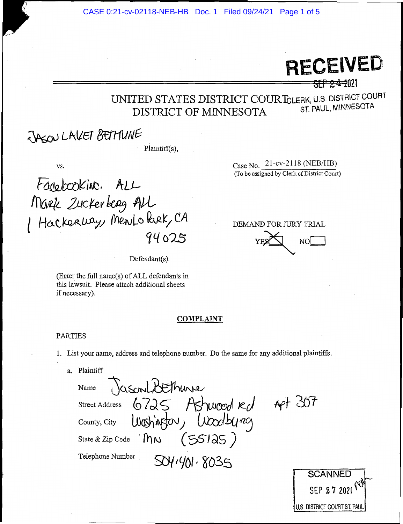CASE 0:21-cv-02118-NEB-HB Doc. 1 Filed 09/24/21 Page 1 of 5

# **RECEIVED**

<del>SEP 24-2</del>021

### UNITED STATES DISTRICT COURTCLERK, U.S. DISTRICT COURT ST. PAUL, MINNESOTA DISTRICT OF MINNESOTA

# JASON LAKET BETTUNE

Plaintiff(s),

VS.

Fanebooking. ALL Mark Zuckerberg ALL / Hackerbay, Mento Park, CA 94025

 $Defendant(s)$ .

(Enter the full name(s) of ALL defendants in this lawsuit. Please attach additional sheets if necessary).

Case No. 21-cv-2118 (NEB/HB) (To be assigned by Clerk of District Court)

#### DEMAND FOR JURY TRIAL

 $NO<sub>l</sub>$ 

#### **COMPLAINT**

#### **PARTIES**

1. List your name, address and telephone number. Do the same for any additional plaintiffs.

a. Plaintiff

JasconLibEthure Name Apt 307  $6725$  Ashwood  $\kappa d$ **Street Address** Washinston, Woodburg County, City  $(55125)$ **Inn** State & Zip Code Telephone Number 5041401.8035

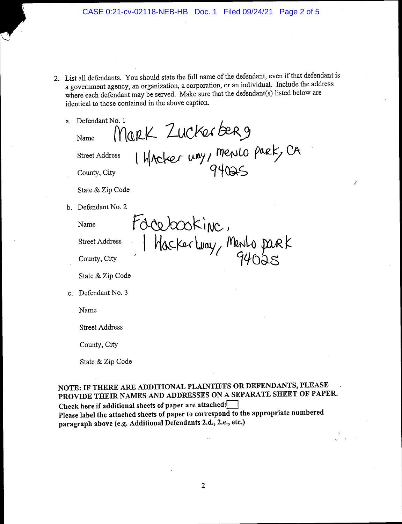2. List all defendants. You should state the full name of the defendant, even if that defendant is a government agency, an organization, a corporation, or an individual. Include the address where each defendant may be served. Make sure that the defendant(s) listed below are identical to those contained in the above caption.

| a. | Defendant No. 1                                                        |
|----|------------------------------------------------------------------------|
|    | Name                                                                   |
|    | Mark Zuckerberg<br>Hacker way, mento park, CA<br><b>Street Address</b> |
|    | County, City                                                           |
|    | State & Zip Code                                                       |
| b. | Defendant No. 2                                                        |
|    | tocebookine.<br>Name                                                   |
|    | <b>Street Address</b>                                                  |
|    | Hacker Way, Mento park<br>County, City                                 |
|    | State & Zip Code                                                       |
| C. | Defendant No. 3                                                        |
|    | Name                                                                   |
|    | <b>Street Address</b>                                                  |
|    | County, City                                                           |

State & Zip Code

NOTE: IF THERE ARE ADDITIONAL PLAINTIFFS OR DEFENDANTS, PLEASE PROVIDE THEIR NAMES AND ADDRESSES ON A SEPARATE SHEET OF PAPER. Check here if additional sheets of paper are attached: Please label the attached sheets of paper to correspond to the appropriate numbered paragraph above (e.g. Additional Defendants 2.d., 2.e., etc.)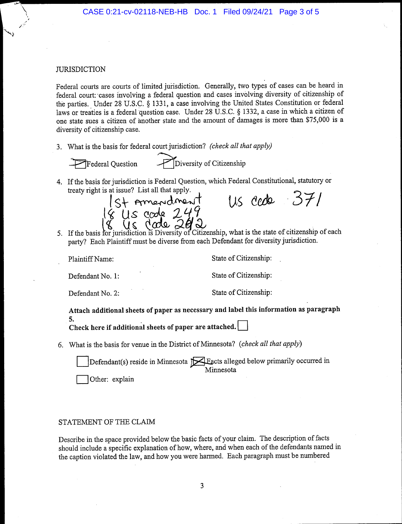#### **JURISDICTION**

Federal courts are courts of limited jurisdiction. Generally, two types of cases can be heard in federal court: cases involving a federal question and cases involving diversity of citizenship of the parties. Under 28 U.S.C. § 1331, a case involving the United States Constitution or federal laws or treaties is a federal question case. Under 28 U.S.C. § 1332, a case in which a citizen of one state sues a citizen of another state and the amount of damages is more than \$75,000 is a diversity of citizenship case.

3. What is the basis for federal court jurisdiction? (check all that apply)

 $\blacktriangleright$ Federal Ouestion

Diversity of Citizenship

4. If the basis for jurisdiction is Federal Question, which Federal Constitutional, statutory or treaty right is at issue? List all that apply.



Us cede 371

5. If the basis for jurisdiction is Diversity of Citizenship, what is the state of citizenship of each party? Each Plaintiff must be diverse from each Defendant for diversity jurisdiction.

Plaintiff Name:

State of Citizenship:

Defendant No. 1:

State of Citizenship:

Defendant No. 2:

State of Citizenship:

Attach additional sheets of paper as necessary and label this information as paragraph 5.

Check here if additional sheets of paper are attached.

6. What is the basis for venue in the District of Minnesota? (check all that apply)

Defendant(s) reside in Minnesota  $\mathbb{R}$  Eacts alleged below primarily occurred in Minnesota

Other: explain

## STATEMENT OF THE CLAIM

Describe in the space provided below the basic facts of your claim. The description of facts should include a specific explanation of how, where, and when each of the defendants named in the caption violated the law, and how you were harmed. Each paragraph must be numbered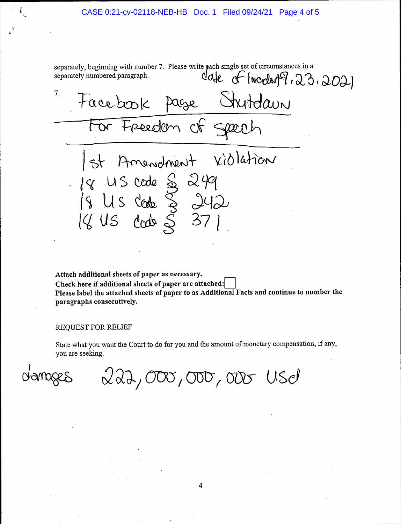separately, beginning with number 7. Please write gach single set of circumstances in a  $\alpha$  separately numbered paragraph.  $\alpha$  and  $\alpha$  and  $\alpha$  and  $\alpha$  and  $\alpha$  and  $\alpha$  and  $\alpha$  , and  $\alpha$ 7. Facebook Page Strutelown For Freedom of  $|$ st Amendment vidlation  $U$ s code  $S$  249 /s  $Us$  code  $\S$   $\partial 4\partial$ 18 US code & 246<br>18 US code & 37 1  $\mathcal{S}$ 18 US code

Attach additional sheets of paper as necessary. Check here if additional sheets of paper are attached: Please label the attached sheets of paper to as Additional Facts and continue to number the paragraphs consecutively.

REQUEST FOR RELIEF

State what you want the Court to do for you and the amount of monetary compensation, if any, you are seeking.

 $222,000,000,000,000$ 

4